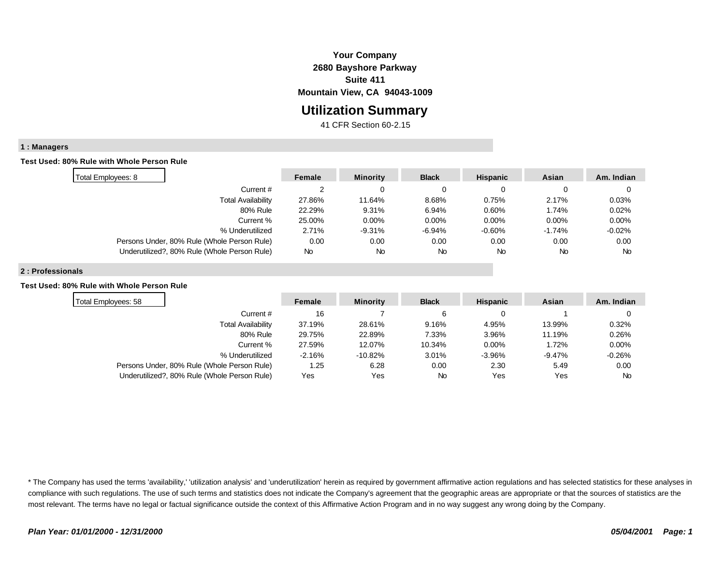# **Your Company 2680 Bayshore Parkway Suite 411 Mountain View, CA 94043-1009**

# **Utilization Summary**

41 CFR Section 60-2.15

## **1 : Managers**

### **Test Used: 80% Rule with Whole Person Rule**

| Total Employees: 8                           | Female | <b>Minority</b> | <b>Black</b> | <b>Hispanic</b> | Asian    | Am. Indian |
|----------------------------------------------|--------|-----------------|--------------|-----------------|----------|------------|
| Current#                                     |        |                 |              |                 |          |            |
| <b>Total Availability</b>                    | 27.86% | 11.64%          | 8.68%        | 0.75%           | 2.17%    | 0.03%      |
| 80% Rule                                     | 22.29% | 9.31%           | 6.94%        | 0.60%           | 1.74%    | 0.02%      |
| Current %                                    | 25.00% | $0.00\%$        | 0.00%        | $0.00\%$        | $0.00\%$ | $0.00\%$   |
| % Underutilized                              | 2.71%  | $-9.31%$        | $-6.94%$     | $-0.60%$        | -1.74%   | $-0.02\%$  |
| Persons Under, 80% Rule (Whole Person Rule)  | 0.00   | 0.00            | 0.00         | 0.00            | 0.00     | 0.00       |
| Underutilized?, 80% Rule (Whole Person Rule) | No     | <b>No</b>       | <b>No</b>    | <b>No</b>       | No       | <b>No</b>  |

#### **2 : Professionals**

### **Test Used: 80% Rule with Whole Person Rule**

| Total Employees: 58                          | Female   | <b>Minority</b> | <b>Black</b> | <b>Hispanic</b> | Asian    | Am. Indian |
|----------------------------------------------|----------|-----------------|--------------|-----------------|----------|------------|
| Current #                                    | 16       |                 | 6            |                 |          |            |
| Total Availability                           | 37.19%   | 28.61%          | 9.16%        | 4.95%           | 13.99%   | 0.32%      |
| 80% Rule                                     | 29.75%   | 22.89%          | 7.33%        | 3.96%           | 11.19%   | 0.26%      |
| Current %                                    | 27.59%   | 12.07%          | 10.34%       | $0.00\%$        | 1.72%    | $0.00\%$   |
| % Underutilized                              | $-2.16%$ | -10.82%         | 3.01%        | $-3.96%$        | $-9.47%$ | $-0.26%$   |
| Persons Under, 80% Rule (Whole Person Rule)  | 1.25     | 6.28            | 0.00         | 2.30            | 5.49     | 0.00       |
| Underutilized?, 80% Rule (Whole Person Rule) | Yes      | Yes             | <b>No</b>    | Yes             | Yes      | <b>No</b>  |

\* The Company has used the terms 'availability,' 'utilization analysis' and 'underutilization' herein as required by government affirmative action regulations and has selected statistics for these analyses in compliance with such regulations. The use of such terms and statistics does not indicate the Company's agreement that the geographic areas are appropriate or that the sources of statistics are the most relevant. The terms have no legal or factual significance outside the context of this Affirmative Action Program and in no way suggest any wrong doing by the Company.